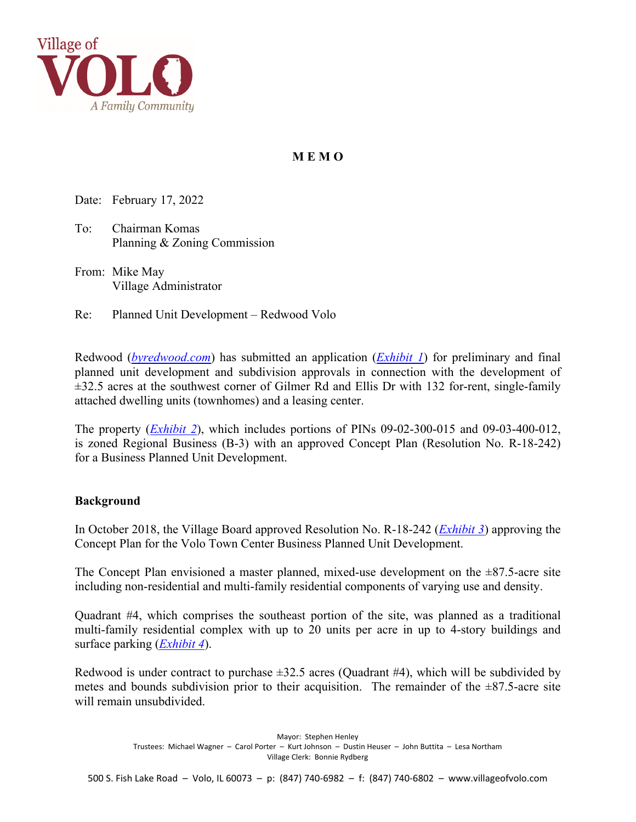

# **M E M O**

Date: February 17, 2022

To: Chairman Komas Planning & Zoning Commission

From: Mike May Village Administrator

Re: Planned Unit Development – Redwood Volo

Redwood (*[byredwood.com](www.byredwood.com)*) has submitted an application (*[Exhibit 1](https://il-volo.civicplus.com/DocumentCenter/View/855/)*) for preliminary and final planned unit development and subdivision approvals in connection with the development of  $\pm$ 32.5 acres at the southwest corner of Gilmer Rd and Ellis Dr with 132 for-rent, single-family attached dwelling units (townhomes) and a leasing center.

The property (*[Exhibit 2](https://il-volo.civicplus.com/DocumentCenter/View/888/)*), which includes portions of PINs 09-02-300-015 and 09-03-400-012, is zoned Regional Business (B-3) with an approved Concept Plan (Resolution No. R-18-242) for a Business Planned Unit Development.

#### **Background**

In October 2018, the Village Board approved Resolution No. R-18-242 (*[Exhibit 3](https://il-volo.civicplus.com/DocumentCenter/View/849/)*) approving the Concept Plan for the Volo Town Center Business Planned Unit Development.

The Concept Plan envisioned a master planned, mixed-use development on the  $\pm 87.5$ -acre site including non-residential and multi-family residential components of varying use and density.

Quadrant #4, which comprises the southeast portion of the site, was planned as a traditional multi-family residential complex with up to 20 units per acre in up to 4-story buildings and surface parking (*[Exhibit 4](https://il-volo.civicplus.com/DocumentCenter/View/889/)*).

Redwood is under contract to purchase  $\pm 32.5$  acres (Quadrant #4), which will be subdivided by metes and bounds subdivision prior to their acquisition. The remainder of the  $\pm 87.5$ -acre site will remain unsubdivided.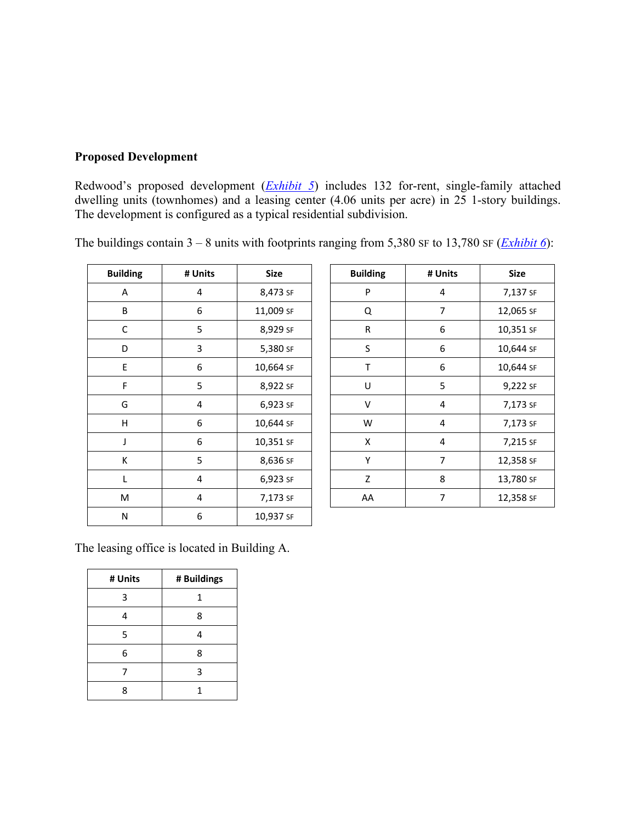## **Proposed Development**

Redwood's proposed development (*[Exhibit 5](https://il-volo.civicplus.com/DocumentCenter/View/851/)*) includes 132 for-rent, single-family attached dwelling units (townhomes) and a leasing center (4.06 units per acre) in 25 1-story buildings. The development is configured as a typical residential subdivision.

| <b>Building</b> | # Units | <b>Size</b> | <b>Building</b> | # Units        | <b>Size</b> |
|-----------------|---------|-------------|-----------------|----------------|-------------|
| A               | 4       | 8,473 SF    | P               | 4              | 7,137       |
| B               | 6       | 11,009 SF   | Q               | 7              | 12,065      |
| C               | 5       | 8,929 SF    | ${\sf R}$       | 6              | 10,351      |
| D               | 3       | 5,380 SF    | $\sf S$         | 6              | 10,644      |
| E               | 6       | 10,664 SF   | Τ               | 6              | 10,644      |
| F               | 5       | 8,922 SF    | U               | 5              | 9,222       |
| G               | 4       | 6,923 SF    | V               | 4              | 7,173       |
| H               | 6       | 10,644 SF   | W               | $\overline{4}$ | 7,173       |
| J               | 6       | 10,351 SF   | Χ               | 4              | 7,215       |
| К               | 5       | 8,636 SF    | Y               | $\overline{7}$ | 12,358      |
| L               | 4       | 6,923 SF    | Z               | 8              | 13,780      |
| M               | 4       | 7,173 SF    | AA              | $\overline{7}$ | 12,358      |
| ${\sf N}$       | 6       | 10,937 SF   |                 |                |             |

The buildings contain 3 – 8 units with footprints ranging from 5,380 SF to 13,780 SF (*[Exhibit 6](https://il-volo.civicplus.com/DocumentCenter/View/852/)*):

| Iding | # Units | <b>Size</b> | <b>Building</b> | # Units | <b>Size</b> |
|-------|---------|-------------|-----------------|---------|-------------|
| A     | 4       | 8,473 SF    | P               | 4       | 7,137 SF    |
| B     | 6       | 11,009 SF   | Q               | 7       | 12,065 SF   |
| C     | 5       | 8,929 SF    | $\mathsf{R}$    | 6       | 10,351 SF   |
| D     | 3       | 5,380 SF    | S               | 6       | 10,644 SF   |
| E.    | 6       | 10,664 SF   | T               | 6       | 10,644 SF   |
| F     | 5       | 8,922 SF    | U               | 5       | 9,222 SF    |
| G     | 4       | 6,923 SF    | $\vee$          | 4       | 7,173 SF    |
| H     | 6       | 10,644 SF   | W               | 4       | 7,173 SF    |
| J     | 6       | 10,351 SF   | X               | 4       | 7,215 SF    |
| К     | 5       | 8,636 SF    | Y               | 7       | 12,358 SF   |
| L     | 4       | 6,923 SF    | Z               | 8       | 13,780 SF   |
| M     | 4       | 7,173 SF    | AA              | 7       | 12,358 SF   |

The leasing office is located in Building A.

| # Units | # Buildings |
|---------|-------------|
| 3       | 1           |
|         | 8           |
| 5       | 4           |
| 6       | 8           |
|         | 3           |
| Q       |             |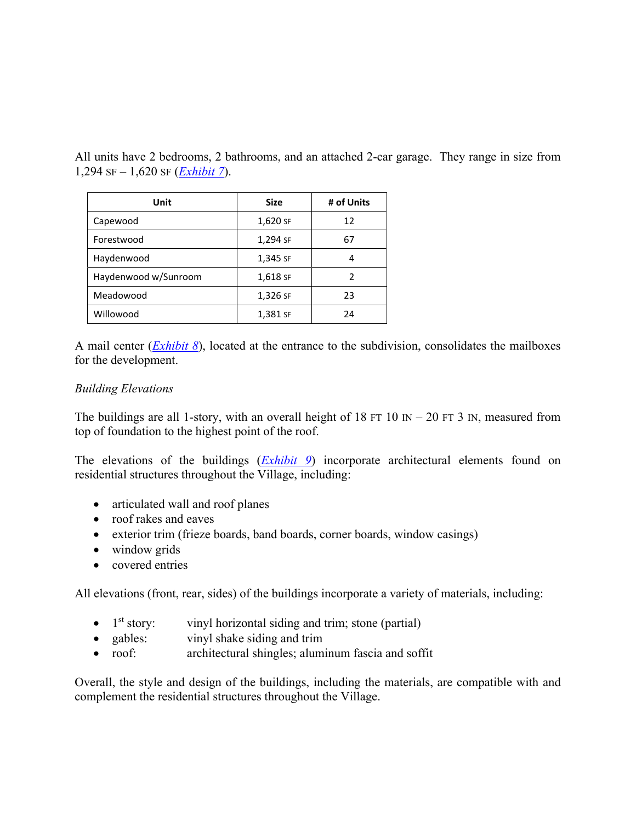All units have 2 bedrooms, 2 bathrooms, and an attached 2-car garage. They range in size from 1,294 SF – 1,620 SF (*[Exhibit 7](https://il-volo.civicplus.com/DocumentCenter/View/890/)*).

| Unit                 | <b>Size</b> | # of Units |
|----------------------|-------------|------------|
| Capewood             | 1,620 SF    | 12         |
| Forestwood           | 1,294 SF    | 67         |
| Haydenwood           | 1,345 SF    | 4          |
| Haydenwood w/Sunroom | 1,618 SF    | 2          |
| Meadowood            | 1,326 SF    | 23         |
| Willowood            | 1,381 SF    | 24         |

A mail center (*[Exhibit 8](https://il-volo.civicplus.com/DocumentCenter/View/891/)*), located at the entrance to the subdivision, consolidates the mailboxes for the development.

## *Building Elevations*

The buildings are all 1-story, with an overall height of 18 FT 10 IN – 20 FT 3 IN, measured from top of foundation to the highest point of the roof.

The elevations of the buildings (*[Exhibit 9](https://il-volo.civicplus.com/DocumentCenter/View/892/)*) incorporate architectural elements found on residential structures throughout the Village, including:

- articulated wall and roof planes
- roof rakes and eaves
- exterior trim (frieze boards, band boards, corner boards, window casings)
- window grids
- covered entries

All elevations (front, rear, sides) of the buildings incorporate a variety of materials, including:

- $\bullet$  1<sup>st</sup> story: vinyl horizontal siding and trim; stone (partial)
- gables: vinyl shake siding and trim
- roof: architectural shingles; aluminum fascia and soffit

Overall, the style and design of the buildings, including the materials, are compatible with and complement the residential structures throughout the Village.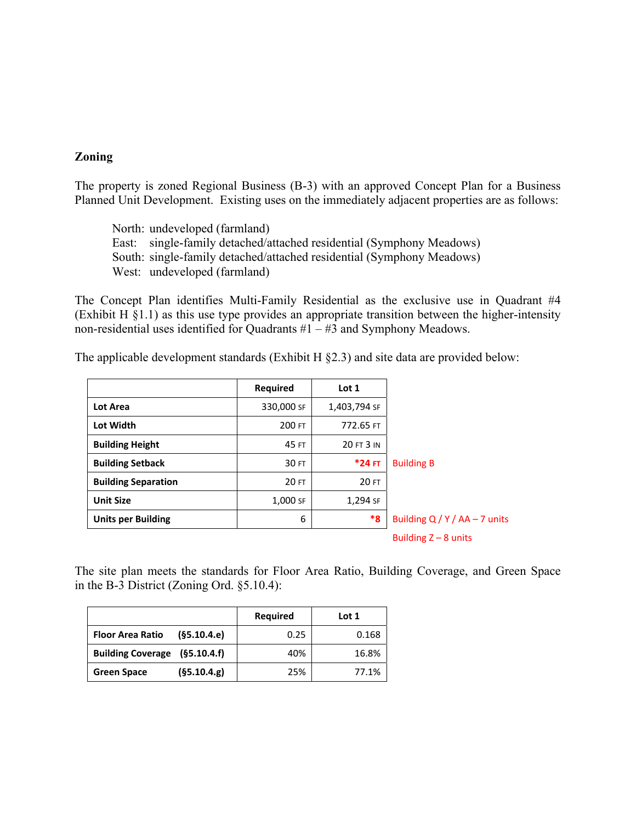#### **Zoning**

The property is zoned Regional Business (B-3) with an approved Concept Plan for a Business Planned Unit Development. Existing uses on the immediately adjacent properties are as follows:

North: undeveloped (farmland) East: single-family detached/attached residential (Symphony Meadows) South: single-family detached/attached residential (Symphony Meadows) West: undeveloped (farmland)

The Concept Plan identifies Multi-Family Residential as the exclusive use in Quadrant #4 (Exhibit H §1.1) as this use type provides an appropriate transition between the higher-intensity non-residential uses identified for Quadrants  $#1 - #3$  and Symphony Meadows.

The applicable development standards (Exhibit H §2.3) and site data are provided below:

|                            | <b>Required</b> | Lot 1            |                             |
|----------------------------|-----------------|------------------|-----------------------------|
| <b>Lot Area</b>            | 330,000 SF      | 1,403,794 SF     |                             |
| Lot Width                  | 200 FT          | 772.65 FT        |                             |
| <b>Building Height</b>     | 45 FT           | 20 FT 3 IN       |                             |
| <b>Building Setback</b>    | 30 FT           | *24 FT           | <b>Building B</b>           |
| <b>Building Separation</b> | 20 FT           | 20 FT            |                             |
| <b>Unit Size</b>           | 1,000 SF        | 1,294 SF         |                             |
| <b>Units per Building</b>  | 6               | $*_{\mathbf{8}}$ | Building $Q/Y/AA - 7$ units |
|                            |                 |                  | Building $Z - 8$ units      |

The site plan meets the standards for Floor Area Ratio, Building Coverage, and Green Space in the B-3 District (Zoning Ord. §5.10.4):

|                                        | <b>Required</b> | Lot 1 |
|----------------------------------------|-----------------|-------|
| (§5.10.4.e)<br><b>Floor Area Ratio</b> | 0.25            | 0.168 |
| Building Coverage (§5.10.4.f)          | 40%             | 16.8% |
| (§5.10.4.g)<br><b>Green Space</b>      | 25%             | 77.1% |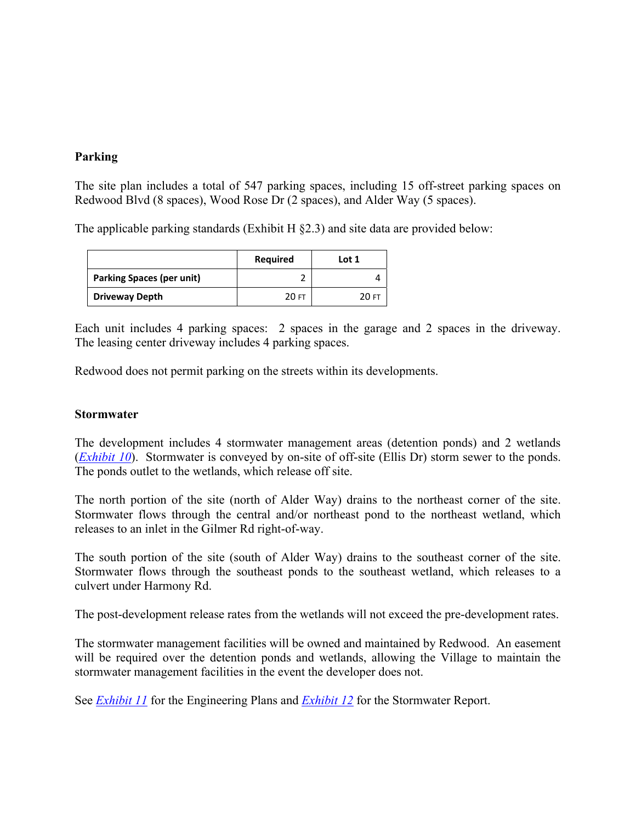## **Parking**

The site plan includes a total of 547 parking spaces, including 15 off-street parking spaces on Redwood Blvd (8 spaces), Wood Rose Dr (2 spaces), and Alder Way (5 spaces).

The applicable parking standards (Exhibit H  $\S$ 2.3) and site data are provided below:

|                                  | Required | Lot 1 |
|----------------------------------|----------|-------|
| <b>Parking Spaces (per unit)</b> |          |       |
| <b>Driveway Depth</b>            | 20 FT    | 20 FT |

Each unit includes 4 parking spaces: 2 spaces in the garage and 2 spaces in the driveway. The leasing center driveway includes 4 parking spaces.

Redwood does not permit parking on the streets within its developments.

#### **Stormwater**

The development includes 4 stormwater management areas (detention ponds) and 2 wetlands (*[Exhibit 10](https://il-volo.civicplus.com/DocumentCenter/View/893/)*). Stormwater is conveyed by on-site of off-site (Ellis Dr) storm sewer to the ponds. The ponds outlet to the wetlands, which release off site.

The north portion of the site (north of Alder Way) drains to the northeast corner of the site. Stormwater flows through the central and/or northeast pond to the northeast wetland, which releases to an inlet in the Gilmer Rd right-of-way.

The south portion of the site (south of Alder Way) drains to the southeast corner of the site. Stormwater flows through the southeast ponds to the southeast wetland, which releases to a culvert under Harmony Rd.

The post-development release rates from the wetlands will not exceed the pre-development rates.

The stormwater management facilities will be owned and maintained by Redwood. An easement will be required over the detention ponds and wetlands, allowing the Village to maintain the stormwater management facilities in the event the developer does not.

See *[Exhibit 11](https://il-volo.civicplus.com/DocumentCenter/View/894/)* for the Engineering Plans and *[Exhibit 12](https://il-volo.civicplus.com/DocumentCenter/View/895/)* for the Stormwater Report.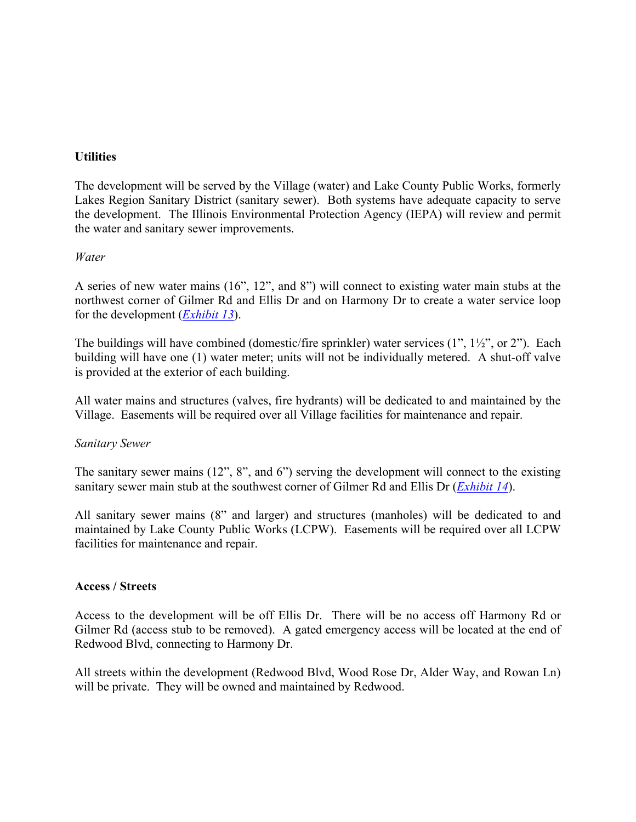## **Utilities**

The development will be served by the Village (water) and Lake County Public Works, formerly Lakes Region Sanitary District (sanitary sewer). Both systems have adequate capacity to serve the development. The Illinois Environmental Protection Agency (IEPA) will review and permit the water and sanitary sewer improvements.

## *Water*

A series of new water mains (16", 12", and 8") will connect to existing water main stubs at the northwest corner of Gilmer Rd and Ellis Dr and on Harmony Dr to create a water service loop for the development (*[Exhibit 13](https://il-volo.civicplus.com/DocumentCenter/View/896/)*).

The buildings will have combined (domestic/fire sprinkler) water services (1",  $1\frac{1}{2}$ ", or 2"). Each building will have one (1) water meter; units will not be individually metered. A shut-off valve is provided at the exterior of each building.

All water mains and structures (valves, fire hydrants) will be dedicated to and maintained by the Village. Easements will be required over all Village facilities for maintenance and repair.

#### *Sanitary Sewer*

The sanitary sewer mains (12", 8", and 6") serving the development will connect to the existing sanitary sewer main stub at the southwest corner of Gilmer Rd and Ellis Dr (*[Exhibit 14](https://il-volo.civicplus.com/DocumentCenter/View/897/)*).

All sanitary sewer mains (8" and larger) and structures (manholes) will be dedicated to and maintained by Lake County Public Works (LCPW). Easements will be required over all LCPW facilities for maintenance and repair.

#### **Access / Streets**

Access to the development will be off Ellis Dr. There will be no access off Harmony Rd or Gilmer Rd (access stub to be removed). A gated emergency access will be located at the end of Redwood Blvd, connecting to Harmony Dr.

All streets within the development (Redwood Blvd, Wood Rose Dr, Alder Way, and Rowan Ln) will be private. They will be owned and maintained by Redwood.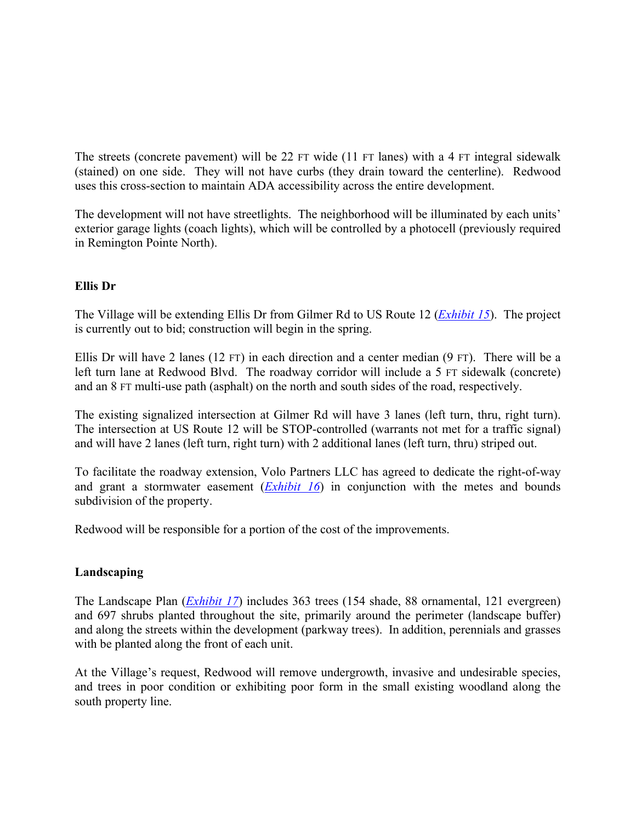The streets (concrete pavement) will be 22 FT wide (11 FT lanes) with a 4 FT integral sidewalk (stained) on one side. They will not have curbs (they drain toward the centerline). Redwood uses this cross-section to maintain ADA accessibility across the entire development.

The development will not have streetlights. The neighborhood will be illuminated by each units' exterior garage lights (coach lights), which will be controlled by a photocell (previously required in Remington Pointe North).

## **Ellis Dr**

The Village will be extending Ellis Dr from Gilmer Rd to US Route 12 (*[Exhibit 15](https://il-volo.civicplus.com/DocumentCenter/View/854/)*). The project is currently out to bid; construction will begin in the spring.

Ellis Dr will have 2 lanes (12 FT) in each direction and a center median (9 FT). There will be a left turn lane at Redwood Blvd. The roadway corridor will include a 5 FT sidewalk (concrete) and an 8 FT multi-use path (asphalt) on the north and south sides of the road, respectively.

The existing signalized intersection at Gilmer Rd will have 3 lanes (left turn, thru, right turn). The intersection at US Route 12 will be STOP-controlled (warrants not met for a traffic signal) and will have 2 lanes (left turn, right turn) with 2 additional lanes (left turn, thru) striped out.

To facilitate the roadway extension, Volo Partners LLC has agreed to dedicate the right-of-way and grant a stormwater easement (*[Exhibit 16](https://il-volo.civicplus.com/DocumentCenter/View/898/)*) in conjunction with the metes and bounds subdivision of the property.

Redwood will be responsible for a portion of the cost of the improvements.

## **Landscaping**

The Landscape Plan (*[Exhibit 17](https://il-volo.civicplus.com/DocumentCenter/View/853/)*) includes 363 trees (154 shade, 88 ornamental, 121 evergreen) and 697 shrubs planted throughout the site, primarily around the perimeter (landscape buffer) and along the streets within the development (parkway trees). In addition, perennials and grasses with be planted along the front of each unit.

At the Village's request, Redwood will remove undergrowth, invasive and undesirable species, and trees in poor condition or exhibiting poor form in the small existing woodland along the south property line.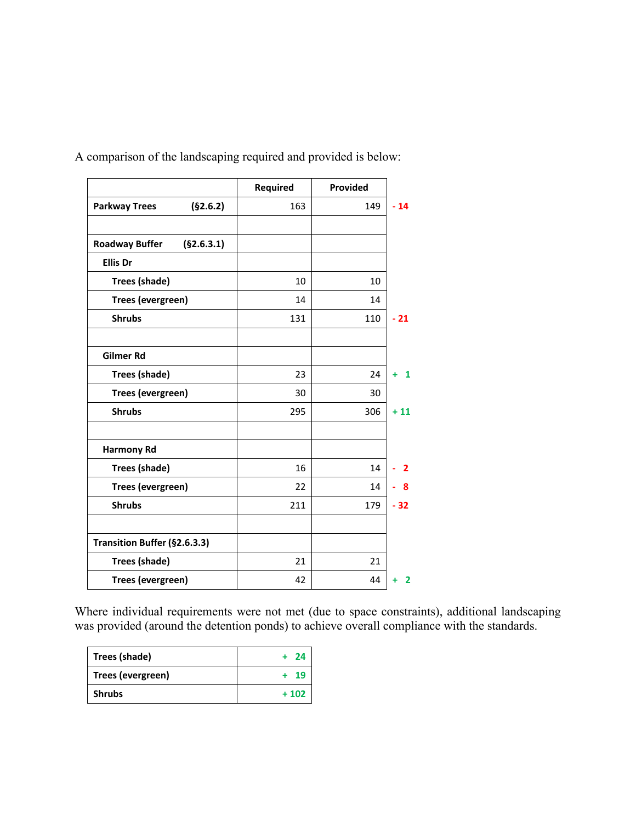|                                     | <b>Required</b> | Provided |       |
|-------------------------------------|-----------------|----------|-------|
| <b>Parkway Trees</b><br>(§2.6.2)    | 163             | 149      | $-14$ |
| (§2.6.3.1)<br><b>Roadway Buffer</b> |                 |          |       |
| <b>Ellis Dr</b>                     |                 |          |       |
| Trees (shade)                       | 10              | 10       |       |
| Trees (evergreen)                   | 14              | 14       |       |
| <b>Shrubs</b>                       | 131             | 110      | $-21$ |
| Gilmer Rd                           |                 |          |       |
| <b>Trees (shade)</b>                | 23              | 24       | 1     |
| Trees (evergreen)                   | 30              | 30       |       |
| <b>Shrubs</b>                       | 295             | 306      | $+11$ |
| <b>Harmony Rd</b>                   |                 |          |       |
| Trees (shade)                       | 16              | 14       | 2     |
| Trees (evergreen)                   | 22              | 14       | 8     |
| <b>Shrubs</b>                       | 211             | 179      | $-32$ |
| Transition Buffer (§2.6.3.3)        |                 |          |       |
| Trees (shade)                       | 21              | 21       |       |
| Trees (evergreen)                   | 42              | 44       | 2     |

A comparison of the landscaping required and provided is below:

Where individual requirements were not met (due to space constraints), additional landscaping was provided (around the detention ponds) to achieve overall compliance with the standards.

| Trees (shade)     | + 24   |
|-------------------|--------|
| Trees (evergreen) | + 19   |
| <b>Shrubs</b>     | $+102$ |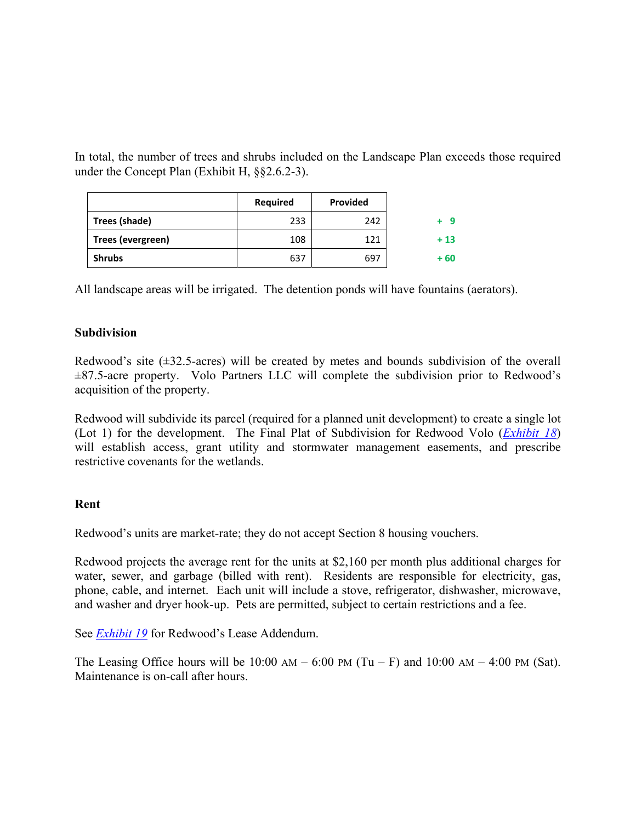In total, the number of trees and shrubs included on the Landscape Plan exceeds those required under the Concept Plan (Exhibit H, §§2.6.2-3).

|                   | <b>Required</b> | <b>Provided</b> |       |
|-------------------|-----------------|-----------------|-------|
| Trees (shade)     | 233             | 242             | -9    |
| Trees (evergreen) | 108             | 121             | $+13$ |
| <b>Shrubs</b>     | 637             | 697             | + 60  |

All landscape areas will be irrigated. The detention ponds will have fountains (aerators).

## **Subdivision**

Redwood's site (±32.5-acres) will be created by metes and bounds subdivision of the overall  $\pm 87.5$ -acre property. Volo Partners LLC will complete the subdivision prior to Redwood's acquisition of the property.

Redwood will subdivide its parcel (required for a planned unit development) to create a single lot (Lot 1) for the development. The Final Plat of Subdivision for Redwood Volo (*[Exhibit 18](https://il-volo.civicplus.com/DocumentCenter/View/850/)*) will establish access, grant utility and stormwater management easements, and prescribe restrictive covenants for the wetlands.

#### **Rent**

Redwood's units are market-rate; they do not accept Section 8 housing vouchers.

Redwood projects the average rent for the units at \$2,160 per month plus additional charges for water, sewer, and garbage (billed with rent). Residents are responsible for electricity, gas, phone, cable, and internet. Each unit will include a stove, refrigerator, dishwasher, microwave, and washer and dryer hook-up. Pets are permitted, subject to certain restrictions and a fee.

See *[Exhibit 19](https://il-volo.civicplus.com/DocumentCenter/View/899/)* for Redwood's Lease Addendum.

The Leasing Office hours will be  $10:00 \text{ AM} - 6:00 \text{ PM (Tu-F)}$  and  $10:00 \text{ AM} - 4:00 \text{ PM (Sat)}$ . Maintenance is on-call after hours.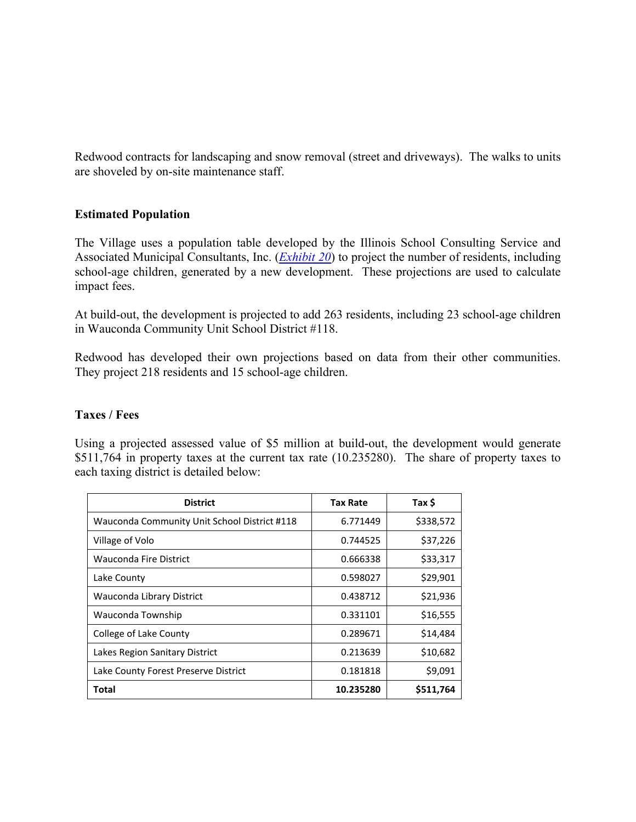Redwood contracts for landscaping and snow removal (street and driveways). The walks to units are shoveled by on-site maintenance staff.

## **Estimated Population**

The Village uses a population table developed by the Illinois School Consulting Service and Associated Municipal Consultants, Inc. (*[Exhibit 20](https://il-volo.civicplus.com/DocumentCenter/View/900/)*) to project the number of residents, including school-age children, generated by a new development. These projections are used to calculate impact fees.

At build-out, the development is projected to add 263 residents, including 23 school-age children in Wauconda Community Unit School District #118.

Redwood has developed their own projections based on data from their other communities. They project 218 residents and 15 school-age children.

#### **Taxes / Fees**

Using a projected assessed value of \$5 million at build-out, the development would generate \$511,764 in property taxes at the current tax rate (10.235280). The share of property taxes to each taxing district is detailed below:

| <b>District</b>                              | <b>Tax Rate</b> | Tax \$    |
|----------------------------------------------|-----------------|-----------|
| Wauconda Community Unit School District #118 | 6.771449        | \$338,572 |
| Village of Volo                              | 0.744525        | \$37,226  |
| Wauconda Fire District                       | 0.666338        | \$33,317  |
| Lake County                                  | 0.598027        | \$29,901  |
| Wauconda Library District                    | 0.438712        | \$21,936  |
| Wauconda Township                            | 0.331101        | \$16,555  |
| College of Lake County                       | 0.289671        | \$14,484  |
| Lakes Region Sanitary District               | 0.213639        | \$10,682  |
| Lake County Forest Preserve District         | 0.181818        | \$9,091   |
| Total                                        | 10.235280       | \$511,764 |